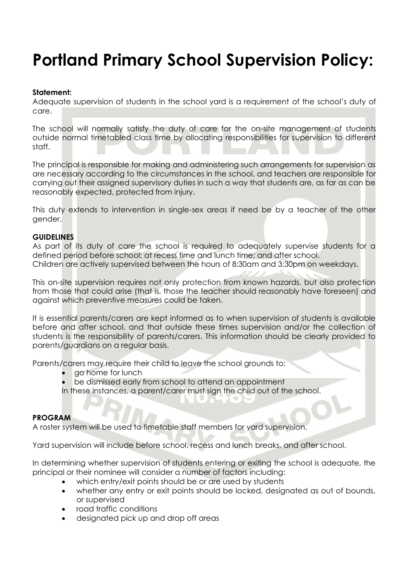# **Portland Primary School Supervision Policy:**

# **Statement:**

Adequate supervision of students in the school yard is a requirement of the school's duty of care.

The school will normally satisfy the duty of care for the on-site management of students outside normal timetabled class time by allocating responsibilities for supervision to different staff.

The principal is responsible for making and administering such arrangements for supervision as are necessary according to the circumstances in the school, and teachers are responsible for carrying out their assigned supervisory duties in such a way that students are, as far as can be reasonably expected, protected from injury.

This duty extends to intervention in single-sex areas if need be by a teacher of the other gender.

# **GUIDELINES**

As part of its duty of care the school is required to adequately supervise students for a defined period before school; at recess time and lunch time; and after school.

Children are actively supervised between the hours of 8:30am and 3:30pm on weekdays.

This on-site supervision requires not only protection from known hazards, but also protection from those that could arise (that is, those the teacher should reasonably have foreseen) and against which preventive measures could be taken.

It is essential parents/carers are kept informed as to when supervision of students is available before and after school, and that outside these times supervision and/or the collection of students is the responsibility of parents/carers. This information should be clearly provided to parents/guardians on a regular basis.

Parents/carers may require their child to leave the school grounds to:

- go home for lunch
- be dismissed early from school to attend an appointment
- In these instances, a parent/carer must sign the child out of the school.

## **PROGRAM**

A roster system will be used to timetable staff members for yard supervision.

Yard supervision will include before school, recess and lunch breaks, and after school.

In determining whether supervision of students entering or exiting the school is adequate, the principal or their nominee will consider a number of factors including:

- which entry/exit points should be or are used by students
- whether any entry or exit points should be locked, designated as out of bounds, or supervised
- road traffic conditions
- designated pick up and drop off areas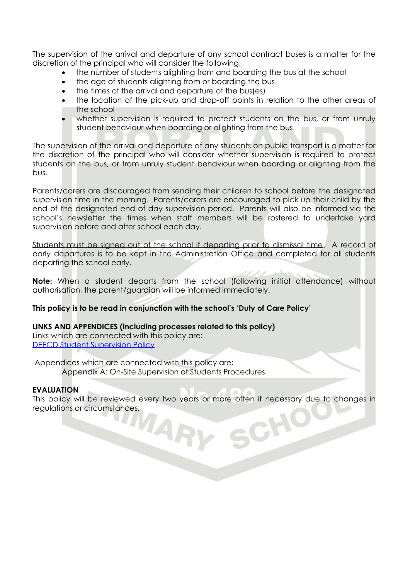The supervision of the arrival and departure of any school contract buses is a matter for the discretion of the principal who will consider the following:

- the number of students alighting from and boarding the bus at the school
- the age of students alighting from or boarding the bus
- the times of the arrival and departure of the bus(es)
- the location of the pick-up and drop-off points in relation to the other areas of the school
- whether supervision is required to protect students on the bus, or from unruly student behaviour when boarding or alighting from the bus

The supervision of the arrival and departure of any students on public transport is a matter for the discretion of the principal who will consider whether supervision is required to protect students on the bus, or from unruly student behaviour when boarding or alighting from the bus.

Parents/carers are discouraged from sending their children to school before the designated supervision time in the morning. Parents/carers are encouraged to pick up their child by the end of the designated end of day supervision period. Parents will also be informed via the school's newsletter the times when staff members will be rostered to undertake yard supervision before and after school each day.

Students must be signed out of the school if departing prior to dismissal time. A record of early departures is to be kept in the Administration Office and completed for all students departing the school early.

**Note:** When a student departs from the school (following initial attendance) without authorisation, the parent/guardian will be informed immediately.

# **This policy is to be read in conjunction with the school's 'Duty of Care Policy'**

**LINKS AND APPENDICES (including processes related to this policy)** Links which are connected with this policy are:

**[DEECD Student Supervision Policy](http://www.education.vic.gov.au/school/principals/spag/safety/Pages/supervision.aspx#mainContent)** 

Appendices which are connected with this policy are: Appendix A: On-Site Supervision of Students Procedures

# **EVALUATION**

This policy will be reviewed every two years or more often if necessary due to changes in regulations or circumstances. regulations or circumstances.CHO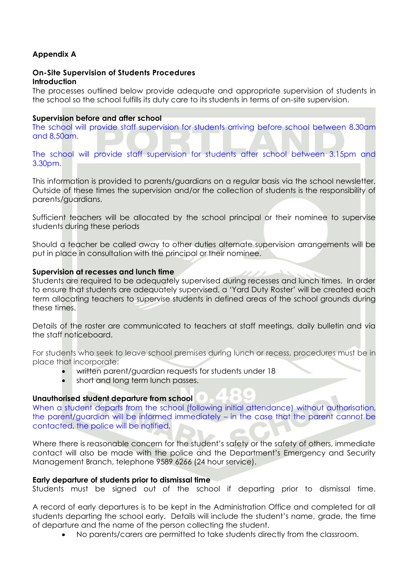# **Appendix A**

#### **On-Site Supervision of Students Procedures Introduction**

The processes outlined below provide adequate and appropriate supervision of students in the school so the school fulfills its duty care to its students in terms of on-site supervision.

## **Supervision before and after school**

The school will provide staff supervision for students arriving before school between 8.30am and 8.50am.

The school will provide staff supervision for students after school between 3.15pm and 3.30pm.

This information is provided to parents/guardians on a regular basis via the school newsletter. Outside of these times the supervision and/or the collection of students is the responsibility of parents/guardians.

Sufficient teachers will be allocated by the school principal or their nominee to supervise students during these periods

Should a teacher be called away to other duties alternate supervision arrangements will be put in place in consultation with the principal or their nominee.

# **Supervision at recesses and lunch time**

Students are required to be adequately supervised during recesses and lunch times. In order to ensure that students are adequately supervised, a 'Yard Duty Roster' will be created each term allocating teachers to supervise students in defined areas of the school grounds during these times.

Details of the roster are communicated to teachers at staff meetings, daily bulletin and via the staff noticeboard.

For students who seek to leave school premises during lunch or recess, procedures must be in place that incorporate:

- written parent/guardian requests for students under 18
- short and long term lunch passes.

## **Unauthorised student departure from school**

When a student departs from the school (following initial attendance) without authorisation, the parent/guardian will be informed immediately – in the case that the parent cannot be contacted, the police will be notified.

 $\bullet$ 

Where there is reasonable concern for the student's safety or the safety of others, immediate contact will also be made with the police and the Department's Emergency and Security Management Branch, telephone 9589 6266 (24 hour service).

## **Early departure of students prior to dismissal time**

Students must be signed out of the school if departing prior to dismissal time.

A record of early departures is to be kept in the Administration Office and completed for all students departing the school early. Details will include the student's name, grade, the time of departure and the name of the person collecting the student.

• No parents/carers are permitted to take students directly from the classroom.